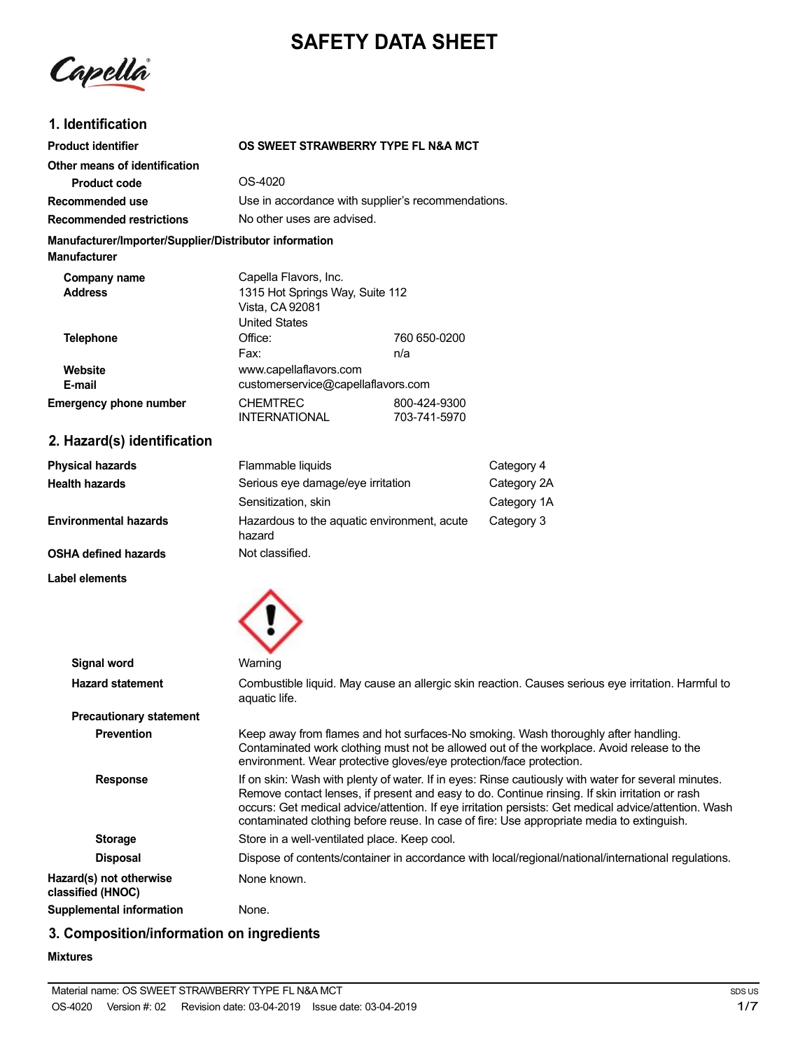# **SAFETY DATA SHEET**

Capella

# **1. Identification**

| <b>Product identifier</b>                                                     | OS SWEET STRAWBERRY TYPE FL N&A MCT                |              |
|-------------------------------------------------------------------------------|----------------------------------------------------|--------------|
| Other means of identification                                                 |                                                    |              |
| <b>Product code</b>                                                           | OS-4020                                            |              |
| Recommended use                                                               | Use in accordance with supplier's recommendations. |              |
| <b>Recommended restrictions</b>                                               | No other uses are advised.                         |              |
| Manufacturer/Importer/Supplier/Distributor information<br><b>Manufacturer</b> |                                                    |              |
| Company name                                                                  | Capella Flavors, Inc.                              |              |
| <b>Address</b>                                                                | 1315 Hot Springs Way, Suite 112                    |              |
|                                                                               | Vista, CA 92081                                    |              |
|                                                                               | <b>United States</b>                               |              |
| <b>Telephone</b>                                                              | Office:                                            | 760 650-0200 |
|                                                                               | Fax:                                               | n/a          |
| Website                                                                       | www.capellaflavors.com                             |              |
| E-mail                                                                        | customerservice@capellaflavors.com                 |              |
| <b>Emergency phone number</b>                                                 | <b>CHEMTREC</b>                                    | 800-424-9300 |
|                                                                               | <b>INTERNATIONAL</b>                               | 703-741-5970 |

# **2. Hazard(s) identification**

**Physical hazards Health hazards**

**Environmental hazards**

**OSHA defined hazards**

**Label elements**

| Flammable liquids                                     | Category 4  |
|-------------------------------------------------------|-------------|
| Serious eye damage/eye irritation                     | Category 2A |
| Sensitization, skin                                   | Category 1A |
| Hazardous to the aquatic environment, acute<br>hazard | Category 3  |
| Not classified.                                       |             |



|                                              | $\tilde{\phantom{a}}$                                                                                                                                                                                                                                                                                                                                                                                      |
|----------------------------------------------|------------------------------------------------------------------------------------------------------------------------------------------------------------------------------------------------------------------------------------------------------------------------------------------------------------------------------------------------------------------------------------------------------------|
| Signal word                                  | Warning                                                                                                                                                                                                                                                                                                                                                                                                    |
| <b>Hazard statement</b>                      | Combustible liquid. May cause an allergic skin reaction. Causes serious eye irritation. Harmful to<br>aquatic life.                                                                                                                                                                                                                                                                                        |
| <b>Precautionary statement</b>               |                                                                                                                                                                                                                                                                                                                                                                                                            |
| <b>Prevention</b>                            | Keep away from flames and hot surfaces-No smoking. Wash thoroughly after handling.<br>Contaminated work clothing must not be allowed out of the workplace. Avoid release to the<br>environment. Wear protective gloves/eye protection/face protection.                                                                                                                                                     |
| <b>Response</b>                              | If on skin: Wash with plenty of water. If in eyes: Rinse cautiously with water for several minutes.<br>Remove contact lenses, if present and easy to do. Continue rinsing. If skin irritation or rash<br>occurs: Get medical advice/attention. If eye irritation persists: Get medical advice/attention. Wash<br>contaminated clothing before reuse. In case of fire: Use appropriate media to extinguish. |
| <b>Storage</b>                               | Store in a well-ventilated place. Keep cool.                                                                                                                                                                                                                                                                                                                                                               |
| <b>Disposal</b>                              | Dispose of contents/container in accordance with local/regional/national/international regulations.                                                                                                                                                                                                                                                                                                        |
| Hazard(s) not otherwise<br>classified (HNOC) | None known.                                                                                                                                                                                                                                                                                                                                                                                                |
| Supplemental information                     | None.                                                                                                                                                                                                                                                                                                                                                                                                      |
|                                              |                                                                                                                                                                                                                                                                                                                                                                                                            |

# **3. Composition/information on ingredients**

## **Mixtures**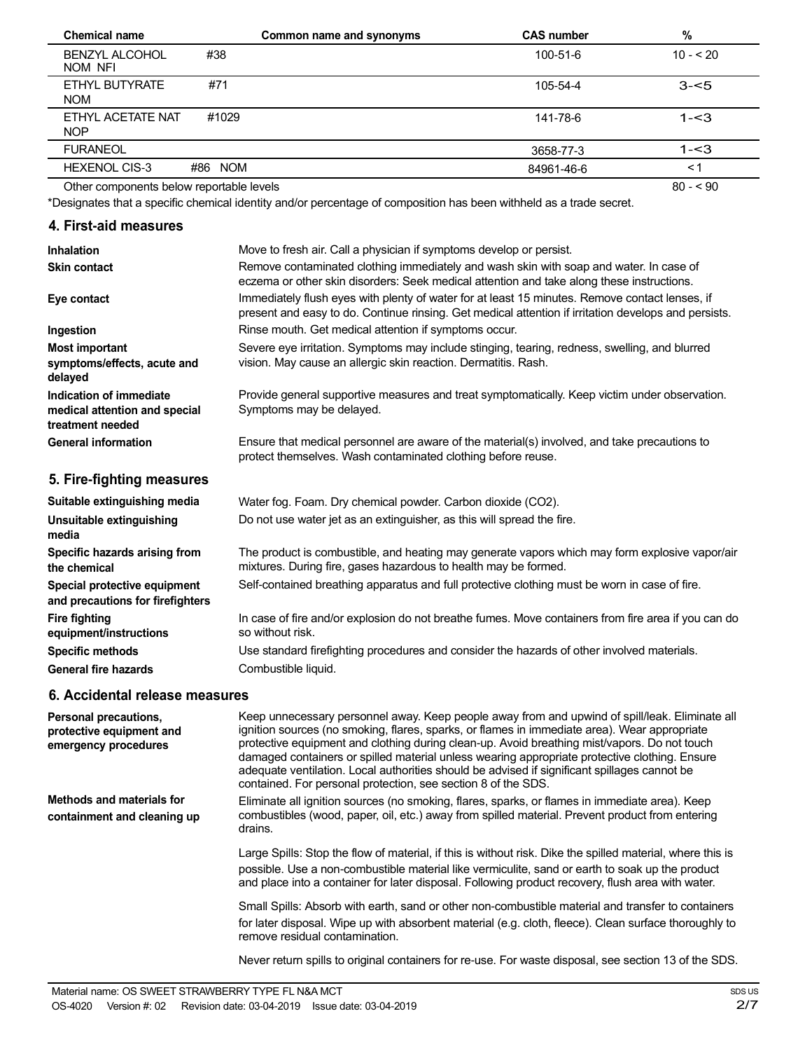| <b>Chemical name</b>                     | Common name and synonyms | <b>CAS number</b> | %          |
|------------------------------------------|--------------------------|-------------------|------------|
| <b>BENZYL ALCOHOL</b><br>NOM NFI         | #38                      | 100-51-6          | $10 - 520$ |
| ETHYL BUTYRATE<br><b>NOM</b>             | #71                      | 105-54-4          | $3 - 5$    |
| ETHYL ACETATE NAT<br><b>NOP</b>          | #1029                    | 141-78-6          | $1 - 3$    |
| <b>FURANEOL</b>                          |                          | 3658-77-3         | $1 - 3$    |
| <b>HEXENOL CIS-3</b>                     | #86 NOM                  | 84961-46-6        | < 1        |
| Other components below reportable levels |                          |                   | $80 - 90$  |

Other components below reportable levels

\*Designates that a specific chemical identity and/or percentage of composition has been withheld as a trade secret.

#### **4. First-aid measures**

| <b>Inhalation</b>                                                            | Move to fresh air. Call a physician if symptoms develop or persist.                                                                                                                                    |  |  |
|------------------------------------------------------------------------------|--------------------------------------------------------------------------------------------------------------------------------------------------------------------------------------------------------|--|--|
| <b>Skin contact</b>                                                          | Remove contaminated clothing immediately and wash skin with soap and water. In case of<br>eczema or other skin disorders: Seek medical attention and take along these instructions.                    |  |  |
| Eye contact                                                                  | Immediately flush eyes with plenty of water for at least 15 minutes. Remove contact lenses, if<br>present and easy to do. Continue rinsing. Get medical attention if irritation develops and persists. |  |  |
| Ingestion                                                                    | Rinse mouth. Get medical attention if symptoms occur.                                                                                                                                                  |  |  |
| <b>Most important</b><br>symptoms/effects, acute and<br>delayed              | Severe eye irritation. Symptoms may include stinging, tearing, redness, swelling, and blurred<br>vision. May cause an allergic skin reaction. Dermatitis. Rash.                                        |  |  |
| Indication of immediate<br>medical attention and special<br>treatment needed | Provide general supportive measures and treat symptomatically. Keep victim under observation.<br>Symptoms may be delayed.                                                                              |  |  |
| <b>General information</b>                                                   | Ensure that medical personnel are aware of the material(s) involved, and take precautions to<br>protect themselves. Wash contaminated clothing before reuse.                                           |  |  |
| 5. Fire-fighting measures                                                    |                                                                                                                                                                                                        |  |  |
| Suitable extinguishing media                                                 | Water fog. Foam. Dry chemical powder. Carbon dioxide (CO2).                                                                                                                                            |  |  |
| Unsuitable extinguishing<br>media                                            | Do not use water jet as an extinguisher, as this will spread the fire.                                                                                                                                 |  |  |
| Specific hazards arising from<br>the chemical                                | The product is combustible, and heating may generate vapors which may form explosive vapor/air<br>mixtures. During fire, gases hazardous to health may be formed.                                      |  |  |
| Special protective equipment<br>and precautions for firefighters             | Self-contained breathing apparatus and full protective clothing must be worn in case of fire.                                                                                                          |  |  |
| <b>Fire fighting</b><br>equipment/instructions                               | In case of fire and/or explosion do not breathe fumes. Move containers from fire area if you can do<br>so without risk.                                                                                |  |  |
| <b>Specific methods</b>                                                      | Use standard firefighting procedures and consider the hazards of other involved materials.                                                                                                             |  |  |
| <b>General fire hazards</b>                                                  | Combustible liquid.                                                                                                                                                                                    |  |  |

# **6. Accidental release measures**

| Personal precautions,<br>protective equipment and<br>emergency procedures | Keep unnecessary personnel away. Keep people away from and upwind of spill/leak. Eliminate all<br>ignition sources (no smoking, flares, sparks, or flames in immediate area). Wear appropriate<br>protective equipment and clothing during clean-up. Avoid breathing mist/vapors. Do not touch<br>damaged containers or spilled material unless wearing appropriate protective clothing. Ensure<br>adequate ventilation. Local authorities should be advised if significant spillages cannot be<br>contained. For personal protection, see section 8 of the SDS. |
|---------------------------------------------------------------------------|------------------------------------------------------------------------------------------------------------------------------------------------------------------------------------------------------------------------------------------------------------------------------------------------------------------------------------------------------------------------------------------------------------------------------------------------------------------------------------------------------------------------------------------------------------------|
| <b>Methods and materials for</b><br>containment and cleaning up           | Eliminate all ignition sources (no smoking, flares, sparks, or flames in immediate area). Keep<br>combustibles (wood, paper, oil, etc.) away from spilled material. Prevent product from entering<br>drains.                                                                                                                                                                                                                                                                                                                                                     |
|                                                                           | Large Spills: Stop the flow of material, if this is without risk. Dike the spilled material, where this is<br>possible. Use a non-combustible material like vermiculite, sand or earth to soak up the product<br>and place into a container for later disposal. Following product recovery, flush area with water.                                                                                                                                                                                                                                               |
|                                                                           | Small Spills: Absorb with earth, sand or other non-combustible material and transfer to containers<br>for later disposal. Wipe up with absorbent material (e.g. cloth, fleece). Clean surface thoroughly to<br>remove residual contamination.                                                                                                                                                                                                                                                                                                                    |

Never return spills to original containers for re-use. For waste disposal, see section 13 of the SDS.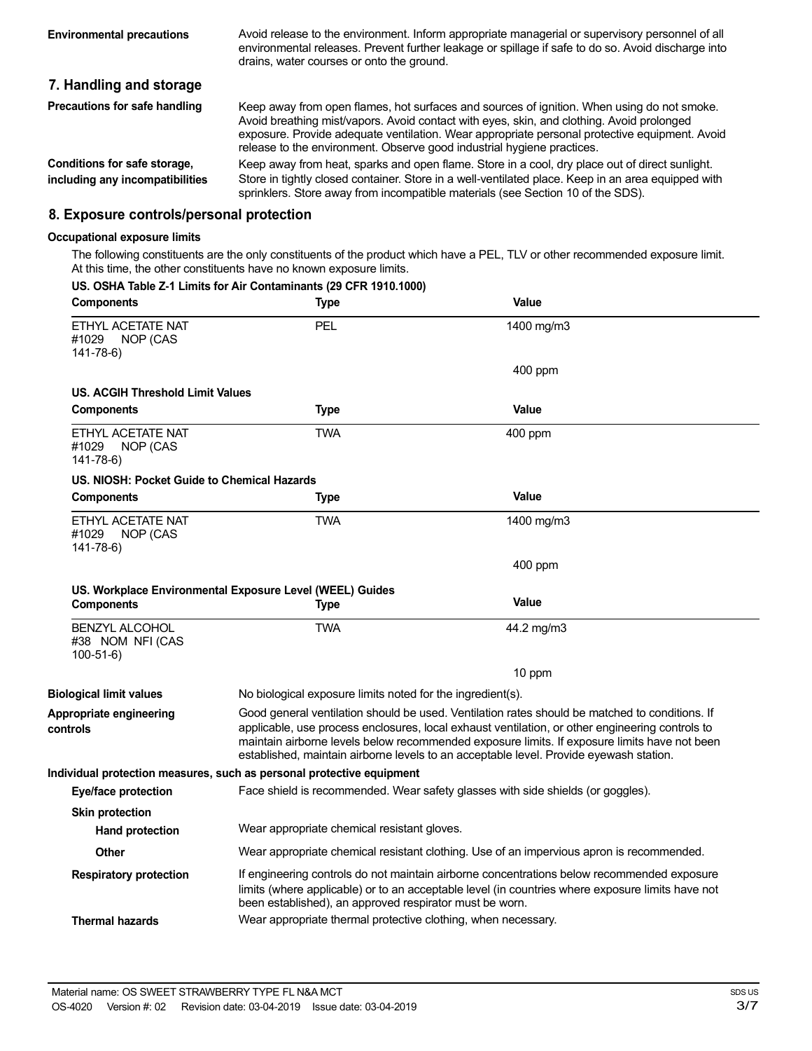Avoid release to the environment. Inform appropriate managerial or supervisory personnel of all environmental releases. Prevent further leakage or spillage if safe to do so. Avoid discharge into drains, water courses or onto the ground.

# **7. Handling and storage**

| Precautions for safe handling                                   | Keep away from open flames, hot surfaces and sources of ignition. When using do not smoke.<br>Avoid breathing mist/vapors. Avoid contact with eyes, skin, and clothing. Avoid prolonged<br>exposure. Provide adequate ventilation. Wear appropriate personal protective equipment. Avoid<br>release to the environment. Observe good industrial hygiene practices. |
|-----------------------------------------------------------------|--------------------------------------------------------------------------------------------------------------------------------------------------------------------------------------------------------------------------------------------------------------------------------------------------------------------------------------------------------------------|
| Conditions for safe storage,<br>including any incompatibilities | Keep away from heat, sparks and open flame. Store in a cool, dry place out of direct sunlight.<br>Store in tightly closed container. Store in a well-ventilated place. Keep in an area equipped with<br>sprinklers. Store away from incompatible materials (see Section 10 of the SDS).                                                                            |

#### **8. Exposure controls/personal protection**

#### **Occupational exposure limits**

The following constituents are the only constituents of the product which have a PEL, TLV or other recommended exposure limit. At this time, the other constituents have no known exposure limits.

#### **US. OSHA Table Z-1 Limits for Air Contaminants (29 CFR 1910.1000) Components Type Value** ETHYL ACETATE NAT #1029 NOP (CAS 141-78-6) **US. ACGIH Threshold Limit Values** PEL 1400 mg/m3 400 ppm **Components Type Value** ETHYL ACETATE NAT **TWA** TWA **100 pm** #1029 NOP (CAS 141-78-6) **US. NIOSH: Pocket Guide to Chemical Hazards Components Type Value** ETHYL ACETATE NAT #1029 NOP (CAS 141-78-6) TWA 1400 mg/m3 400 ppm **US. Workplace Environmental Exposure Level (WEEL) Guides Components Components Type Value** BENZYL ALCOHOL #38 NOM NFI (CAS 100-51-6) **Biological limit values Appropriate engineering controls** TWA 44.2 mg/m3 10 ppm No biological exposure limits noted for the ingredient(s). Good general ventilation should be used. Ventilation rates should be matched to conditions. If applicable, use process enclosures, local exhaust ventilation, or other engineering controls to maintain airborne levels below recommended exposure limits. If exposure limits have not been established, maintain airborne levels to an acceptable level. Provide eyewash station. **Individual protection measures, such as personal protective equipment Eye/face protection Skin protection Hand protection Other Respiratory protection Thermal hazards** Face shield is recommended. Wear safety glasses with side shields (or goggles). Wear appropriate chemical resistant gloves. Wear appropriate chemical resistant clothing. Use of an impervious apron is recommended. If engineering controls do not maintain airborne concentrations below recommended exposure limits (where applicable) or to an acceptable level (in countries where exposure limits have not been established), an approved respirator must be worn. Wear appropriate thermal protective clothing, when necessary.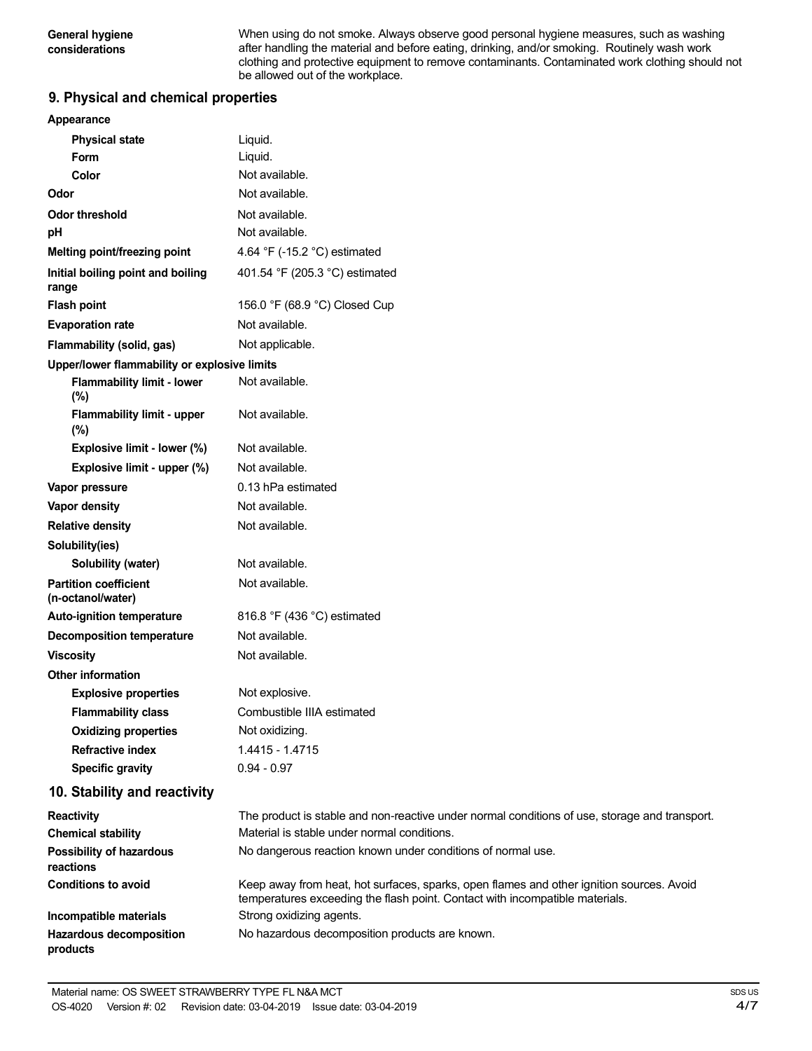When using do not smoke. Always observe good personal hygiene measures, such as washing after handling the material and before eating, drinking, and/or smoking. Routinely wash work clothing and protective equipment to remove contaminants. Contaminated work clothing should not be allowed out of the workplace.

## **9. Physical and chemical properties**

| Appearance                                        |                                                                                                                                                                          |
|---------------------------------------------------|--------------------------------------------------------------------------------------------------------------------------------------------------------------------------|
| <b>Physical state</b>                             | Liquid.                                                                                                                                                                  |
| Form                                              | Liquid.                                                                                                                                                                  |
| Color                                             | Not available.                                                                                                                                                           |
| Odor                                              | Not available.                                                                                                                                                           |
| <b>Odor threshold</b>                             | Not available.                                                                                                                                                           |
| pH                                                | Not available.                                                                                                                                                           |
| Melting point/freezing point                      | 4.64 °F (-15.2 °C) estimated                                                                                                                                             |
| Initial boiling point and boiling<br>range        | 401.54 °F (205.3 °C) estimated                                                                                                                                           |
| <b>Flash point</b>                                | 156.0 °F (68.9 °C) Closed Cup                                                                                                                                            |
| <b>Evaporation rate</b>                           | Not available.                                                                                                                                                           |
| Flammability (solid, gas)                         | Not applicable.                                                                                                                                                          |
| Upper/lower flammability or explosive limits      |                                                                                                                                                                          |
| <b>Flammability limit - lower</b><br>$(\%)$       | Not available.                                                                                                                                                           |
| <b>Flammability limit - upper</b><br>$(\%)$       | Not available.                                                                                                                                                           |
| Explosive limit - lower (%)                       | Not available.                                                                                                                                                           |
| Explosive limit - upper (%)                       | Not available.                                                                                                                                                           |
| Vapor pressure                                    | 0.13 hPa estimated                                                                                                                                                       |
| Vapor density                                     | Not available.                                                                                                                                                           |
| <b>Relative density</b>                           | Not available.                                                                                                                                                           |
| Solubility(ies)                                   |                                                                                                                                                                          |
| Solubility (water)                                | Not available.                                                                                                                                                           |
| <b>Partition coefficient</b><br>(n-octanol/water) | Not available.                                                                                                                                                           |
| Auto-ignition temperature                         | 816.8 °F (436 °C) estimated                                                                                                                                              |
| <b>Decomposition temperature</b>                  | Not available.                                                                                                                                                           |
| <b>Viscosity</b>                                  | Not available.                                                                                                                                                           |
| <b>Other information</b>                          |                                                                                                                                                                          |
| <b>Explosive properties</b>                       | Not explosive.                                                                                                                                                           |
| <b>Flammability class</b>                         | Combustible IIIA estimated                                                                                                                                               |
| <b>Oxidizing properties</b>                       | Not oxidizing.                                                                                                                                                           |
| <b>Refractive index</b>                           | 1.4415 - 1.4715                                                                                                                                                          |
| <b>Specific gravity</b>                           | $0.94 - 0.97$                                                                                                                                                            |
| 10. Stability and reactivity                      |                                                                                                                                                                          |
| <b>Reactivity</b>                                 | The product is stable and non-reactive under normal conditions of use, storage and transport.                                                                            |
| <b>Chemical stability</b>                         | Material is stable under normal conditions.                                                                                                                              |
| Possibility of hazardous<br>reactions             | No dangerous reaction known under conditions of normal use.                                                                                                              |
| <b>Conditions to avoid</b>                        | Keep away from heat, hot surfaces, sparks, open flames and other ignition sources. Avoid<br>temperatures exceeding the flash point. Contact with incompatible materials. |
| Incompatible materials                            | Strong oxidizing agents.                                                                                                                                                 |
| Hazardous decomposition<br>products               | No hazardous decomposition products are known.                                                                                                                           |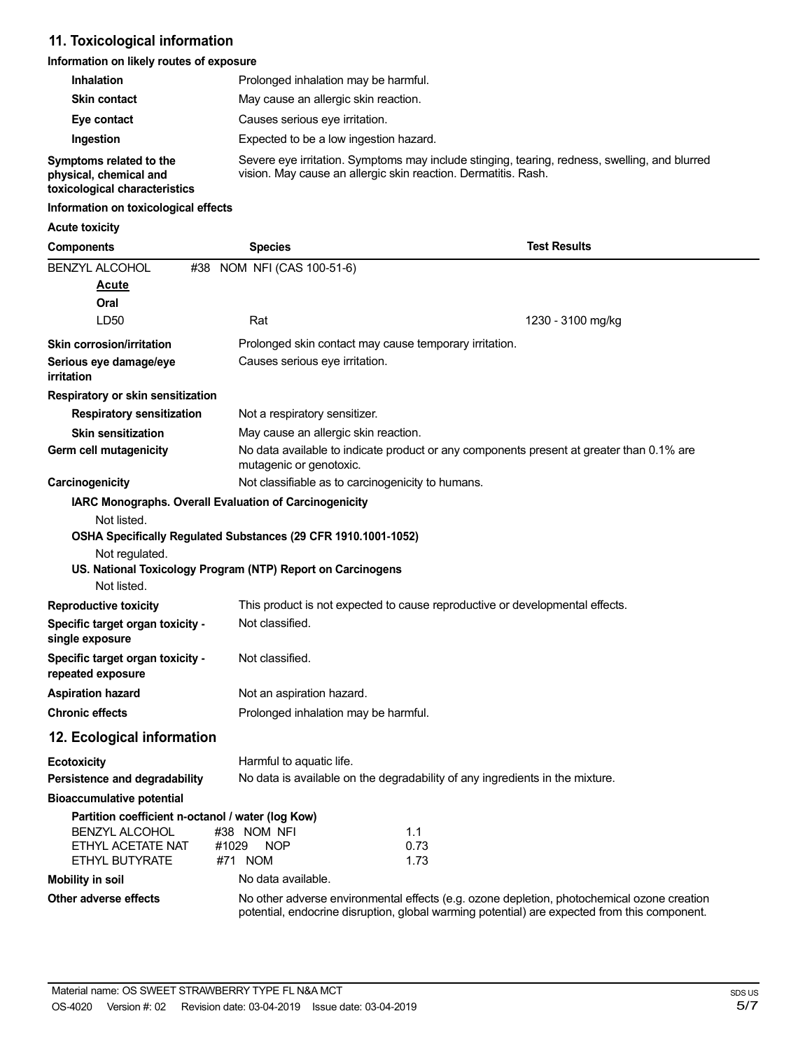# **11. Toxicological information**

# **Information on likely routes of exposure**

| <b>Inhalation</b>                                 | Prolonged inhalation may be harmful.                                                                                                                            |  |
|---------------------------------------------------|-----------------------------------------------------------------------------------------------------------------------------------------------------------------|--|
| <b>Skin contact</b>                               | May cause an allergic skin reaction.                                                                                                                            |  |
| Eye contact                                       | Causes serious eye irritation.                                                                                                                                  |  |
| Ingestion                                         | Expected to be a low ingestion hazard.                                                                                                                          |  |
| Symptoms related to the<br>physical, chemical and | Severe eye irritation. Symptoms may include stinging, tearing, redness, swelling, and blurred<br>vision. May cause an allergic skin reaction. Dermatitis. Rash. |  |

#### **physical, chemical and toxicological characteristics**

## **Information on toxicological effects**

#### **Acute toxicity**

| <b>Components</b>                                                          | <b>Species</b>                       | <b>Test Results</b>                                                                                                                                                                        |
|----------------------------------------------------------------------------|--------------------------------------|--------------------------------------------------------------------------------------------------------------------------------------------------------------------------------------------|
| <b>BENZYL ALCOHOL</b>                                                      | #38 NOM NFI (CAS 100-51-6)           |                                                                                                                                                                                            |
| Acute                                                                      |                                      |                                                                                                                                                                                            |
| Oral                                                                       |                                      |                                                                                                                                                                                            |
| LD50                                                                       | Rat                                  | 1230 - 3100 mg/kg                                                                                                                                                                          |
| Skin corrosion/irritation                                                  |                                      | Prolonged skin contact may cause temporary irritation.                                                                                                                                     |
| Serious eye damage/eye<br>irritation                                       | Causes serious eye irritation.       |                                                                                                                                                                                            |
| <b>Respiratory or skin sensitization</b>                                   |                                      |                                                                                                                                                                                            |
| <b>Respiratory sensitization</b>                                           | Not a respiratory sensitizer.        |                                                                                                                                                                                            |
| <b>Skin sensitization</b>                                                  | May cause an allergic skin reaction. |                                                                                                                                                                                            |
| <b>Germ cell mutagenicity</b>                                              | mutagenic or genotoxic.              | No data available to indicate product or any components present at greater than 0.1% are                                                                                                   |
| Carcinogenicity                                                            |                                      | Not classifiable as to carcinogenicity to humans.                                                                                                                                          |
| IARC Monographs. Overall Evaluation of Carcinogenicity                     |                                      |                                                                                                                                                                                            |
| Not listed.                                                                |                                      |                                                                                                                                                                                            |
| OSHA Specifically Regulated Substances (29 CFR 1910.1001-1052)             |                                      |                                                                                                                                                                                            |
| Not regulated.                                                             |                                      |                                                                                                                                                                                            |
| US. National Toxicology Program (NTP) Report on Carcinogens<br>Not listed. |                                      |                                                                                                                                                                                            |
|                                                                            |                                      |                                                                                                                                                                                            |
| <b>Reproductive toxicity</b>                                               | Not classified.                      | This product is not expected to cause reproductive or developmental effects.                                                                                                               |
| Specific target organ toxicity -<br>single exposure                        |                                      |                                                                                                                                                                                            |
| Specific target organ toxicity -<br>repeated exposure                      | Not classified.                      |                                                                                                                                                                                            |
| <b>Aspiration hazard</b>                                                   | Not an aspiration hazard.            |                                                                                                                                                                                            |
| <b>Chronic effects</b>                                                     | Prolonged inhalation may be harmful. |                                                                                                                                                                                            |
| 12. Ecological information                                                 |                                      |                                                                                                                                                                                            |
| <b>Ecotoxicity</b>                                                         | Harmful to aquatic life.             |                                                                                                                                                                                            |
| Persistence and degradability                                              |                                      | No data is available on the degradability of any ingredients in the mixture.                                                                                                               |
| <b>Bioaccumulative potential</b>                                           |                                      |                                                                                                                                                                                            |
| Partition coefficient n-octanol / water (log Kow)                          |                                      |                                                                                                                                                                                            |
| <b>BENZYL ALCOHOL</b>                                                      | #38 NOM NFI                          | 1.1                                                                                                                                                                                        |
| ETHYL ACETATE NAT                                                          | #1029<br><b>NOP</b>                  | 0.73                                                                                                                                                                                       |
| ETHYL BUTYRATE                                                             | #71 NOM                              | 1.73                                                                                                                                                                                       |
| <b>Mobility in soil</b>                                                    | No data available.                   |                                                                                                                                                                                            |
| Other adverse effects                                                      |                                      | No other adverse environmental effects (e.g. ozone depletion, photochemical ozone creation<br>potential, endocrine disruption, global warming potential) are expected from this component. |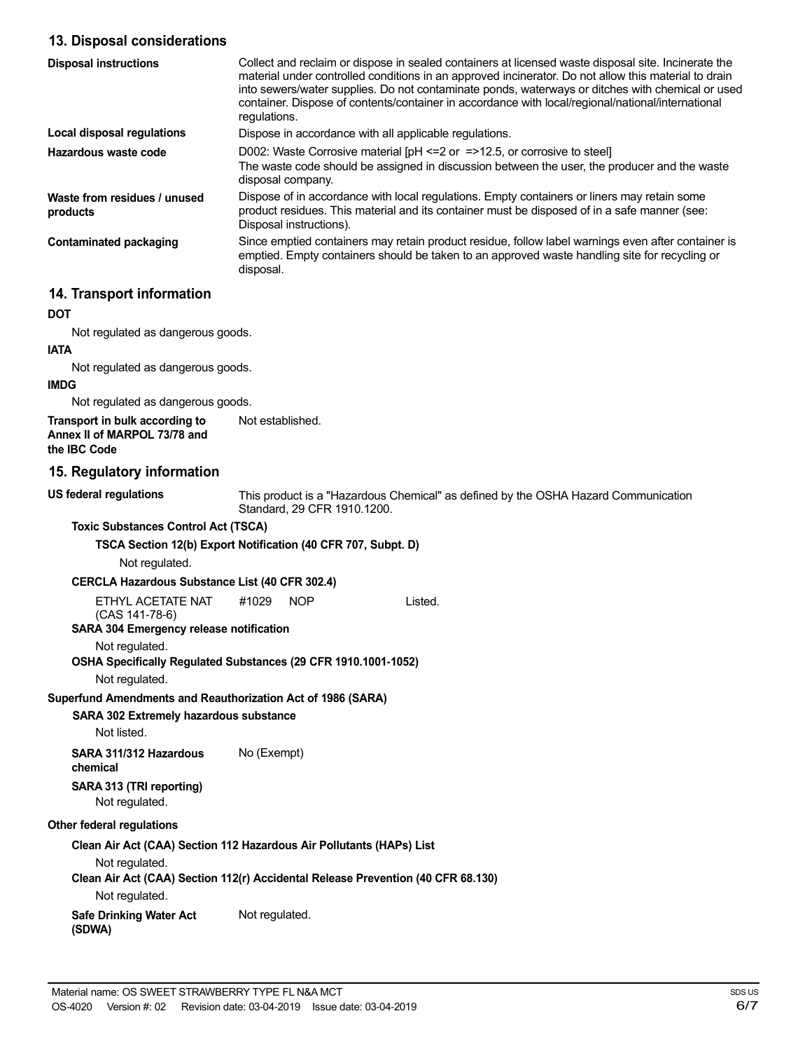## **13. Disposal considerations**

| <b>Disposal instructions</b>             | Collect and reclaim or dispose in sealed containers at licensed waste disposal site. Incinerate the<br>material under controlled conditions in an approved incinerator. Do not allow this material to drain<br>into sewers/water supplies. Do not contaminate ponds, waterways or ditches with chemical or used<br>container. Dispose of contents/container in accordance with local/regional/national/international<br>regulations. |
|------------------------------------------|--------------------------------------------------------------------------------------------------------------------------------------------------------------------------------------------------------------------------------------------------------------------------------------------------------------------------------------------------------------------------------------------------------------------------------------|
| Local disposal regulations               | Dispose in accordance with all applicable regulations.                                                                                                                                                                                                                                                                                                                                                                               |
| Hazardous waste code                     | D002: Waste Corrosive material $[PH \le 2$ or $= >12.5$ , or corrosive to steel<br>The waste code should be assigned in discussion between the user, the producer and the waste<br>disposal company.                                                                                                                                                                                                                                 |
| Waste from residues / unused<br>products | Dispose of in accordance with local regulations. Empty containers or liners may retain some<br>product residues. This material and its container must be disposed of in a safe manner (see:<br>Disposal instructions).                                                                                                                                                                                                               |
| Contaminated packaging                   | Since emptied containers may retain product residue, follow label warnings even after container is<br>emptied. Empty containers should be taken to an approved waste handling site for recycling or<br>disposal.                                                                                                                                                                                                                     |

## **14. Transport information**

#### **DOT**

Not regulated as dangerous goods.

# **IATA**

Not regulated as dangerous goods.

#### **IMDG**

Not regulated as dangerous goods.

**Transport in bulk according to Annex II of MARPOL 73/78 and the IBC Code** Not established.

#### **15. Regulatory information**

**US federal regulations**

This product is a "Hazardous Chemical" as defined by the OSHA Hazard Communication Standard, 29 CFR 1910.1200.

**Toxic Substances Control Act (TSCA)**

#### **TSCA Section 12(b) Export Notification (40 CFR 707, Subpt. D)**

Not regulated.

#### **CERCLA Hazardous Substance List (40 CFR 302.4)**

ETHYL ACETATE NAT #1029 NOP Listed. (CAS 141-78-6)

**SARA 304 Emergency release notification**

Not regulated.

#### **OSHA Specifically Regulated Substances (29 CFR 1910.1001-1052)**

Not regulated.

# **Superfund Amendments and Reauthorization Act of 1986 (SARA)**

**SARA 302 Extremely hazardous substance**

Not listed.

**SARA 311/312 Hazardous** No (Exempt)

```
chemical
```
**SARA 313 (TRI reporting)**

Not regulated.

## **Other federal regulations**

**Clean Air Act (CAA) Section 112 Hazardous Air Pollutants (HAPs) List**

Not regulated.

**Clean Air Act (CAA) Section 112(r) Accidental Release Prevention (40 CFR 68.130)**

Not regulated.

#### **Safe Drinking Water Act (SDWA)** Not regulated.